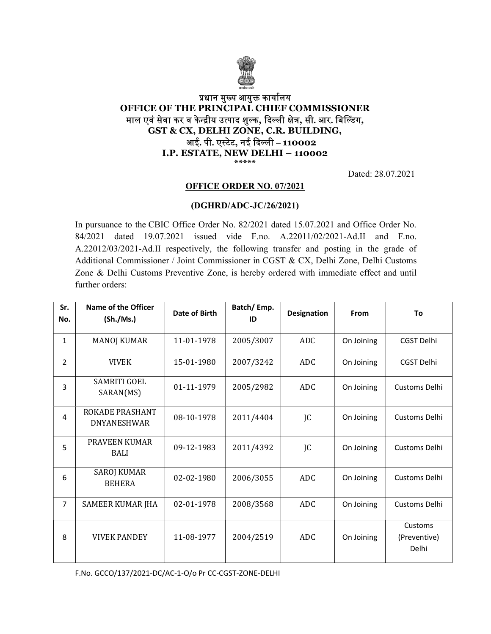

## प्रधान मुख्य आयुक्त कार्यालय OFFICE OF THE PRINCIPAL CHIEF COMMISSIONER माल एवं सेवा कर व केन्द्रीय उत्पाद शुल्क, दिल्ली क्षेत्र, सी. आर. बिल्डिंग, GST & CX, DELHI ZONE, C.R. BUILDING, आई. पी. एस्टेट, नई दिल्ली – 110002 I.P. ESTATE, NEW DELHI – 110002 \*\*\*\*\*

Dated: 28.07.2021

### OFFICE ORDER NO. 07/2021

### (DGHRD/ADC-JC/26/2021)

In pursuance to the CBIC Office Order No. 82/2021 dated 15.07.2021 and Office Order No. 84/2021 dated 19.07.2021 issued vide F.no. A.22011/02/2021-Ad.II and F.no. A.22012/03/2021-Ad.II respectively, the following transfer and posting in the grade of Additional Commissioner / Joint Commissioner in CGST & CX, Delhi Zone, Delhi Customs Zone & Delhi Customs Preventive Zone, is hereby ordered with immediate effect and until further orders:

| Sr.            | Name of the Officer                   | Date of Birth | Batch/Emp.<br>ID | Designation | <b>From</b> | To                               |
|----------------|---------------------------------------|---------------|------------------|-------------|-------------|----------------------------------|
| No.            | (Sh./Ms.)                             |               |                  |             |             |                                  |
| $\mathbf{1}$   | <b>MANOJ KUMAR</b>                    | 11-01-1978    | 2005/3007        | ADC         | On Joining  | CGST Delhi                       |
| $\overline{2}$ | <b>VIVEK</b>                          | 15-01-1980    | 2007/3242        | <b>ADC</b>  | On Joining  | CGST Delhi                       |
| 3              | <b>SAMRITI GOEL</b><br>SARAN(MS)      | 01-11-1979    | 2005/2982        | <b>ADC</b>  | On Joining  | Customs Delhi                    |
| 4              | ROKADE PRASHANT<br><b>DNYANESHWAR</b> | 08-10-1978    | 2011/4404        | JC          | On Joining  | Customs Delhi                    |
| 5              | PRAVEEN KUMAR<br><b>BALI</b>          | 09-12-1983    | 2011/4392        | JC          | On Joining  | Customs Delhi                    |
| 6              | <b>SAROJ KUMAR</b><br><b>BEHERA</b>   | 02-02-1980    | 2006/3055        | <b>ADC</b>  | On Joining  | Customs Delhi                    |
| $\overline{7}$ | SAMEER KUMAR JHA                      | 02-01-1978    | 2008/3568        | <b>ADC</b>  | On Joining  | Customs Delhi                    |
| 8              | <b>VIVEK PANDEY</b>                   | 11-08-1977    | 2004/2519        | <b>ADC</b>  | On Joining  | Customs<br>(Preventive)<br>Delhi |

F.No. GCCO/137/2021-DC/AC-1-O/o Pr CC-CGST-ZONE-DELHI